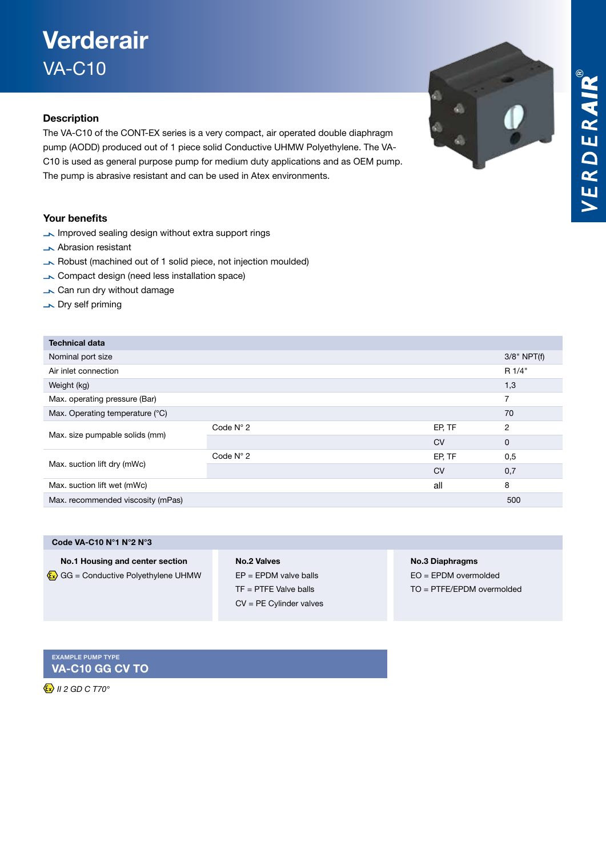## VERDERAIR®

## **Verderair** VA-C10

### Description

The VA-C10 of the CONT-EX series is a very compact, air operated double diaphragm pump (AODD) produced out of 1 piece solid Conductive UHMW Polyethylene. The VA-C10 is used as general purpose pump for medium duty applications and as OEM pump. The pump is abrasive resistant and can be used in Atex environments.

### Your benefits

- Improved sealing design without extra support rings
- **Abrasion resistant**
- Robust (machined out of 1 solid piece, not injection moulded)
- Compact design (need less installation space)
- Can run dry without damage
- Dry self priming

| <b>Technical data</b>             |                    |           |               |
|-----------------------------------|--------------------|-----------|---------------|
| Nominal port size                 |                    |           | $3/8"$ NPT(f) |
| Air inlet connection              |                    |           | R 1/4"        |
| Weight (kg)                       |                    |           | 1,3           |
| Max. operating pressure (Bar)     |                    |           | 7             |
| Max. Operating temperature (°C)   |                    |           | 70            |
| Max. size pumpable solids (mm)    | Code $N^{\circ}$ 2 | EP, TF    | 2             |
|                                   |                    | <b>CV</b> | $\mathbf 0$   |
| Max. suction lift dry (mWc)       | Code $N^{\circ}$ 2 | EP, TF    | 0,5           |
|                                   |                    | <b>CV</b> | 0,7           |
| Max. suction lift wet (mWc)       |                    | all       | 8             |
| Max. recommended viscosity (mPas) |                    |           | 500           |
|                                   |                    |           |               |

| Code VA-C10 N°1 N°2 N°3                     |                     |
|---------------------------------------------|---------------------|
| No.1 Housing and center section             | <b>No.2 Valves</b>  |
| $\vec{x}$ GG = Conductive Polyethylene UHMW | $EP = EPDM$ valve b |

### palls TF = PTFE Valve balls CV = PE Cylinder valves

No.3 Diaphragms

EO = EPDM overmolded TO = PTFE/EPDM overmolded

Example pump type VA-C10 GG CV TO

 *II 2 GD C T70°* 

€